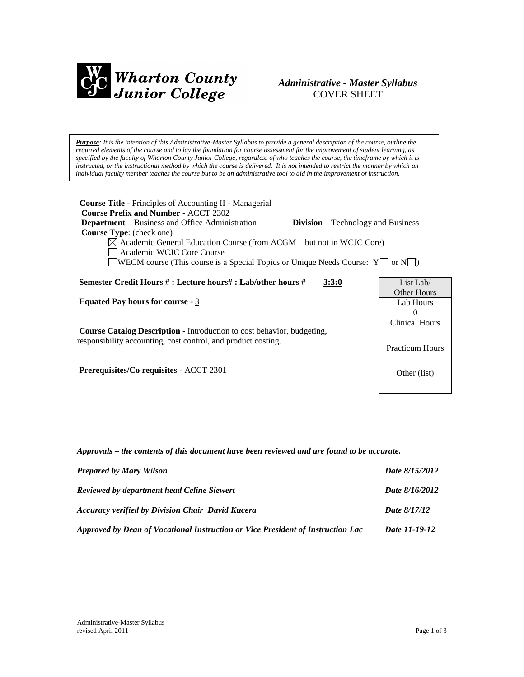

# *Administrative - Master Syllabus*  COVER SHEET

*Purpose: It is the intention of this Administrative-Master Syllabus to provide a general description of the course, outline the required elements of the course and to lay the foundation for course assessment for the improvement of student learning, as specified by the faculty of Wharton County Junior College, regardless of who teaches the course, the timeframe by which it is instructed, or the instructional method by which the course is delivered. It is not intended to restrict the manner by which an individual faculty member teaches the course but to be an administrative tool to aid in the improvement of instruction.*

| <b>Course Title</b> - Principles of Accounting II - Managerial<br><b>Course Prefix and Number - ACCT 2302</b><br><b>Department</b> – Business and Office Administration<br><b>Division</b> – Technology and Business<br><b>Course Type:</b> (check one)<br>$\boxtimes$ Academic General Education Course (from ACGM – but not in WCJC Core)<br>Academic WCJC Core Course<br>WECM course (This course is a Special Topics or Unique Needs Course: $Y \cap N$ ) |                                                 |
|---------------------------------------------------------------------------------------------------------------------------------------------------------------------------------------------------------------------------------------------------------------------------------------------------------------------------------------------------------------------------------------------------------------------------------------------------------------|-------------------------------------------------|
| Semester Credit Hours #: Lecture hours#: Lab/other hours #<br>3:3:0                                                                                                                                                                                                                                                                                                                                                                                           | List Lab/<br>Other Hours                        |
| <b>Equated Pay hours for course - 3</b>                                                                                                                                                                                                                                                                                                                                                                                                                       | Lab Hours<br>$\Omega$                           |
| <b>Course Catalog Description - Introduction to cost behavior, budgeting,</b><br>responsibility accounting, cost control, and product costing.                                                                                                                                                                                                                                                                                                                | <b>Clinical Hours</b><br><b>Practicum Hours</b> |
| <b>Prerequisites/Co requisites - ACCT 2301</b>                                                                                                                                                                                                                                                                                                                                                                                                                | Other (list)                                    |

*Approvals – the contents of this document have been reviewed and are found to be accurate.*

| <b>Prepared by Mary Wilson</b>                                                  | Date 8/15/2012 |
|---------------------------------------------------------------------------------|----------------|
| <b>Reviewed by department head Celine Siewert</b>                               | Date 8/16/2012 |
| <b>Accuracy verified by Division Chair David Kucera</b>                         | Date 8/17/12   |
| Approved by Dean of Vocational Instruction or Vice President of Instruction Lac | Date 11-19-12  |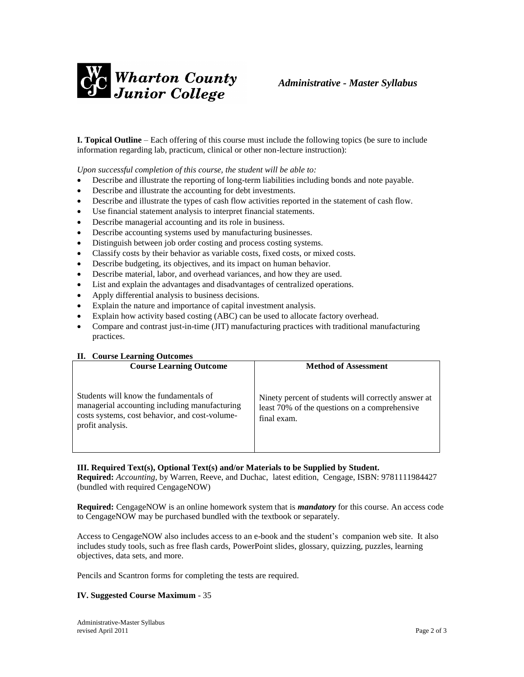

**I. Topical Outline** – Each offering of this course must include the following topics (be sure to include information regarding lab, practicum, clinical or other non-lecture instruction):

*Upon successful completion of this course, the student will be able to:*

- Describe and illustrate the reporting of long-term liabilities including bonds and note payable.
- Describe and illustrate the accounting for debt investments.
- Describe and illustrate the types of cash flow activities reported in the statement of cash flow.
- Use financial statement analysis to interpret financial statements.
- Describe managerial accounting and its role in business.
- Describe accounting systems used by manufacturing businesses.
- Distinguish between job order costing and process costing systems.
- Classify costs by their behavior as variable costs, fixed costs, or mixed costs.
- Describe budgeting, its objectives, and its impact on human behavior.
- Describe material, labor, and overhead variances, and how they are used.
- List and explain the advantages and disadvantages of centralized operations.
- Apply differential analysis to business decisions.
- Explain the nature and importance of capital investment analysis.
- Explain how activity based costing (ABC) can be used to allocate factory overhead.
- Compare and contrast just-in-time (JIT) manufacturing practices with traditional manufacturing practices.

#### **II. Course Learning Outcomes**

| <b>Course Learning Outcome</b>                                                                                                                                | <b>Method of Assessment</b>                                                                                         |
|---------------------------------------------------------------------------------------------------------------------------------------------------------------|---------------------------------------------------------------------------------------------------------------------|
| Students will know the fundamentals of<br>managerial accounting including manufacturing<br>costs systems, cost behavior, and cost-volume-<br>profit analysis. | Ninety percent of students will correctly answer at<br>least 70% of the questions on a comprehensive<br>final exam. |

#### **III. Required Text(s), Optional Text(s) and/or Materials to be Supplied by Student.**

**Required:** *Accounting*, by Warren, Reeve, and Duchac, latest edition, Cengage, ISBN: 9781111984427 (bundled with required CengageNOW)

**Required:** CengageNOW is an online homework system that is *mandatory* for this course. An access code to CengageNOW may be purchased bundled with the textbook or separately.

Access to CengageNOW also includes access to an e-book and the student's companion web site. It also includes study tools, such as free flash cards, PowerPoint slides, glossary, quizzing, puzzles, learning objectives, data sets, and more.

Pencils and Scantron forms for completing the tests are required.

#### **IV. Suggested Course Maximum** - 35